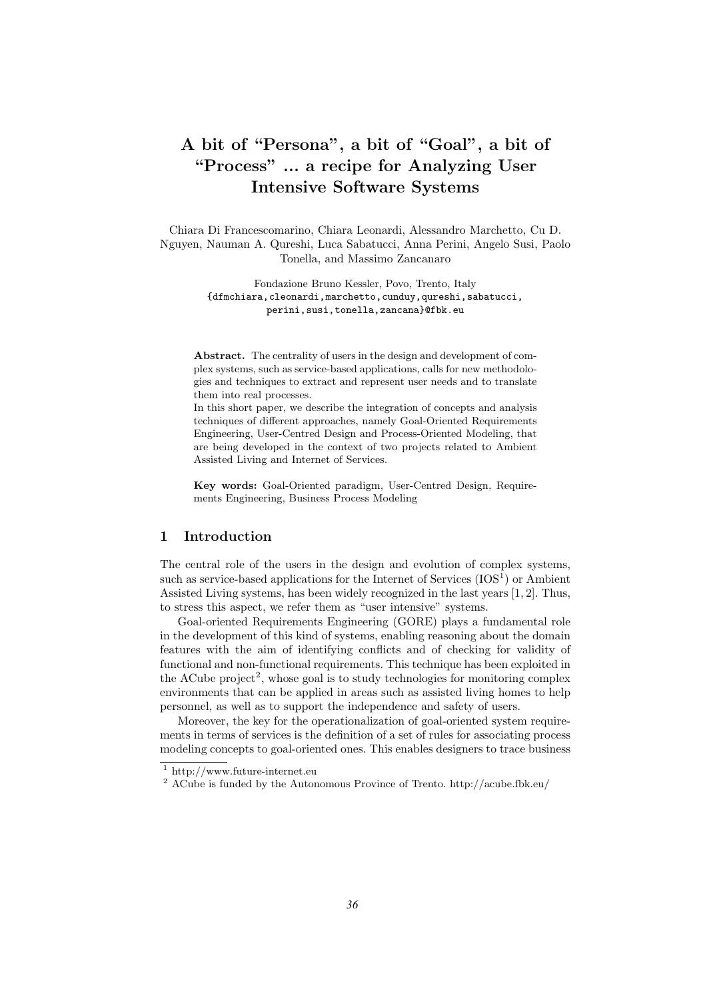# A bit of "Persona", a bit of "Goal", a bit of "Process" ... a recipe for Analyzing User Intensive Software Systems

Chiara Di Francescomarino, Chiara Leonardi, Alessandro Marchetto, Cu D. Nguyen, Nauman A. Qureshi, Luca Sabatucci, Anna Perini, Angelo Susi, Paolo Tonella, and Massimo Zancanaro

> Fondazione Bruno Kessler, Povo, Trento, Italy {dfmchiara,cleonardi,marchetto,cunduy,qureshi,sabatucci, perini,susi,tonella,zancana}@fbk.eu

Abstract. The centrality of users in the design and development of complex systems, such as service-based applications, calls for new methodologies and techniques to extract and represent user needs and to translate them into real processes.

In this short paper, we describe the integration of concepts and analysis techniques of different approaches, namely Goal-Oriented Requirements Engineering, User-Centred Design and Process-Oriented Modeling, that are being developed in the context of two projects related to Ambient Assisted Living and Internet of Services.

Key words: Goal-Oriented paradigm, User-Centred Design, Requirements Engineering, Business Process Modeling

### 1 Introduction

The central role of the users in the design and evolution of complex systems, such as service-based applications for the Internet of Services  $(IOS<sup>1</sup>)$  or Ambient Assisted Living systems, has been widely recognized in the last years [1, 2]. Thus, to stress this aspect, we refer them as "user intensive" systems.

Goal-oriented Requirements Engineering (GORE) plays a fundamental role in the development of this kind of systems, enabling reasoning about the domain features with the aim of identifying conflicts and of checking for validity of functional and non-functional requirements. This technique has been exploited in the ACube project<sup>2</sup>, whose goal is to study technologies for monitoring complex environments that can be applied in areas such as assisted living homes to help personnel, as well as to support the independence and safety of users.

Moreover, the key for the operationalization of goal-oriented system requirements in terms of services is the definition of a set of rules for associating process modeling concepts to goal-oriented ones. This enables designers to trace business

<sup>1</sup> http://www.future-internet.eu

<sup>2</sup> ACube is funded by the Autonomous Province of Trento. http://acube.fbk.eu/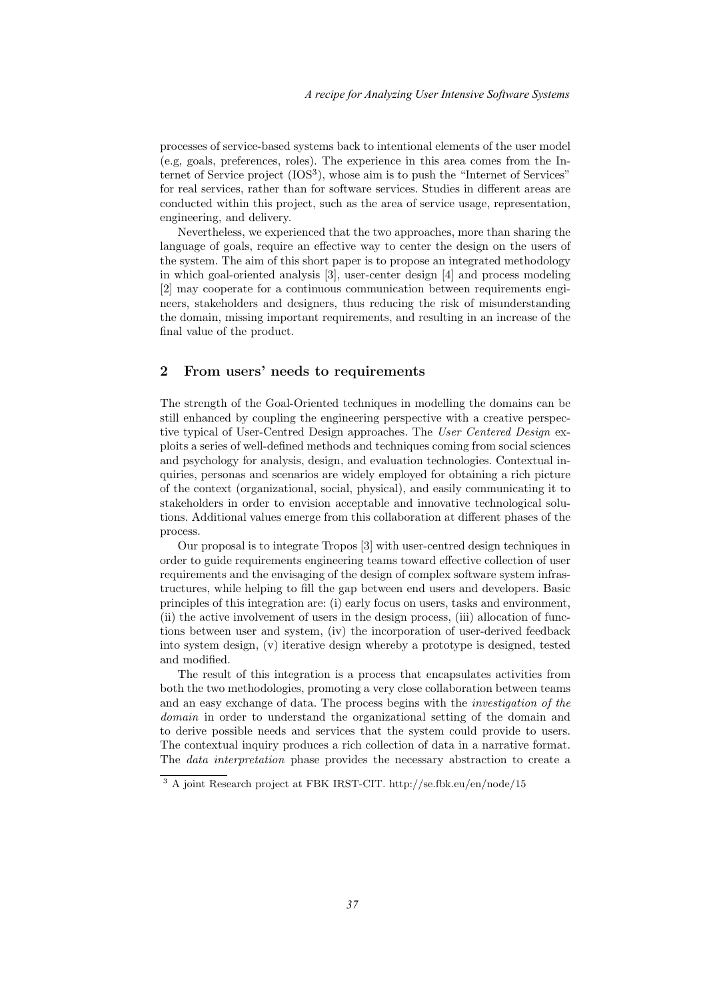processes of service-based systems back to intentional elements of the user model (e.g, goals, preferences, roles). The experience in this area comes from the Internet of Service project (IOS<sup>3</sup>), whose aim is to push the "Internet of Services" for real services, rather than for software services. Studies in different areas are conducted within this project, such as the area of service usage, representation, engineering, and delivery.

Nevertheless, we experienced that the two approaches, more than sharing the language of goals, require an effective way to center the design on the users of the system. The aim of this short paper is to propose an integrated methodology in which goal-oriented analysis [3], user-center design [4] and process modeling [2] may cooperate for a continuous communication between requirements engineers, stakeholders and designers, thus reducing the risk of misunderstanding the domain, missing important requirements, and resulting in an increase of the final value of the product.

## 2 From users' needs to requirements

The strength of the Goal-Oriented techniques in modelling the domains can be still enhanced by coupling the engineering perspective with a creative perspective typical of User-Centred Design approaches. The User Centered Design exploits a series of well-defined methods and techniques coming from social sciences and psychology for analysis, design, and evaluation technologies. Contextual inquiries, personas and scenarios are widely employed for obtaining a rich picture of the context (organizational, social, physical), and easily communicating it to stakeholders in order to envision acceptable and innovative technological solutions. Additional values emerge from this collaboration at different phases of the process.

Our proposal is to integrate Tropos [3] with user-centred design techniques in order to guide requirements engineering teams toward effective collection of user requirements and the envisaging of the design of complex software system infrastructures, while helping to fill the gap between end users and developers. Basic principles of this integration are: (i) early focus on users, tasks and environment, (ii) the active involvement of users in the design process, (iii) allocation of functions between user and system, (iv) the incorporation of user-derived feedback into system design, (v) iterative design whereby a prototype is designed, tested and modified.

The result of this integration is a process that encapsulates activities from both the two methodologies, promoting a very close collaboration between teams and an easy exchange of data. The process begins with the investigation of the domain in order to understand the organizational setting of the domain and to derive possible needs and services that the system could provide to users. The contextual inquiry produces a rich collection of data in a narrative format. The data interpretation phase provides the necessary abstraction to create a

<sup>3</sup> A joint Research project at FBK IRST-CIT. http://se.fbk.eu/en/node/15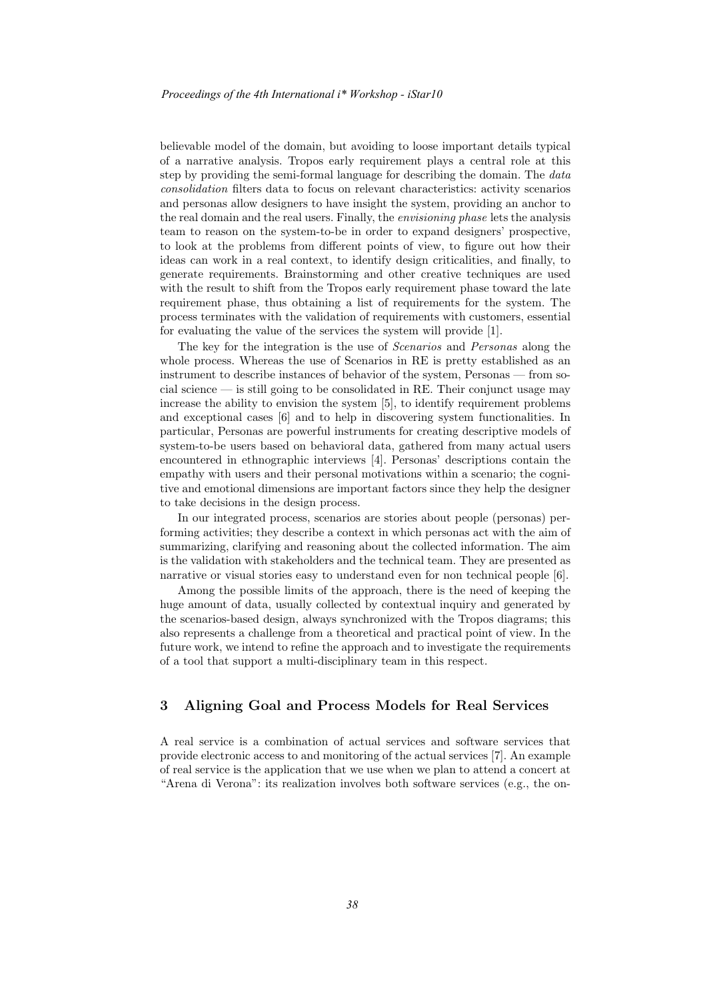believable model of the domain, but avoiding to loose important details typical of a narrative analysis. Tropos early requirement plays a central role at this step by providing the semi-formal language for describing the domain. The *data* consolidation filters data to focus on relevant characteristics: activity scenarios and personas allow designers to have insight the system, providing an anchor to the real domain and the real users. Finally, the envisioning phase lets the analysis team to reason on the system-to-be in order to expand designers' prospective, to look at the problems from different points of view, to figure out how their ideas can work in a real context, to identify design criticalities, and finally, to generate requirements. Brainstorming and other creative techniques are used with the result to shift from the Tropos early requirement phase toward the late requirement phase, thus obtaining a list of requirements for the system. The process terminates with the validation of requirements with customers, essential for evaluating the value of the services the system will provide [1].

The key for the integration is the use of Scenarios and Personas along the whole process. Whereas the use of Scenarios in RE is pretty established as an instrument to describe instances of behavior of the system, Personas — from social science  $\overline{\phantom{a}}$  is still going to be consolidated in RE. Their conjunct usage may increase the ability to envision the system [5], to identify requirement problems and exceptional cases [6] and to help in discovering system functionalities. In particular, Personas are powerful instruments for creating descriptive models of system-to-be users based on behavioral data, gathered from many actual users encountered in ethnographic interviews [4]. Personas' descriptions contain the empathy with users and their personal motivations within a scenario; the cognitive and emotional dimensions are important factors since they help the designer to take decisions in the design process.

In our integrated process, scenarios are stories about people (personas) performing activities; they describe a context in which personas act with the aim of summarizing, clarifying and reasoning about the collected information. The aim is the validation with stakeholders and the technical team. They are presented as narrative or visual stories easy to understand even for non technical people [6].

Among the possible limits of the approach, there is the need of keeping the huge amount of data, usually collected by contextual inquiry and generated by the scenarios-based design, always synchronized with the Tropos diagrams; this also represents a challenge from a theoretical and practical point of view. In the future work, we intend to refine the approach and to investigate the requirements of a tool that support a multi-disciplinary team in this respect.

# 3 Aligning Goal and Process Models for Real Services

A real service is a combination of actual services and software services that provide electronic access to and monitoring of the actual services [7]. An example of real service is the application that we use when we plan to attend a concert at "Arena di Verona": its realization involves both software services (e.g., the on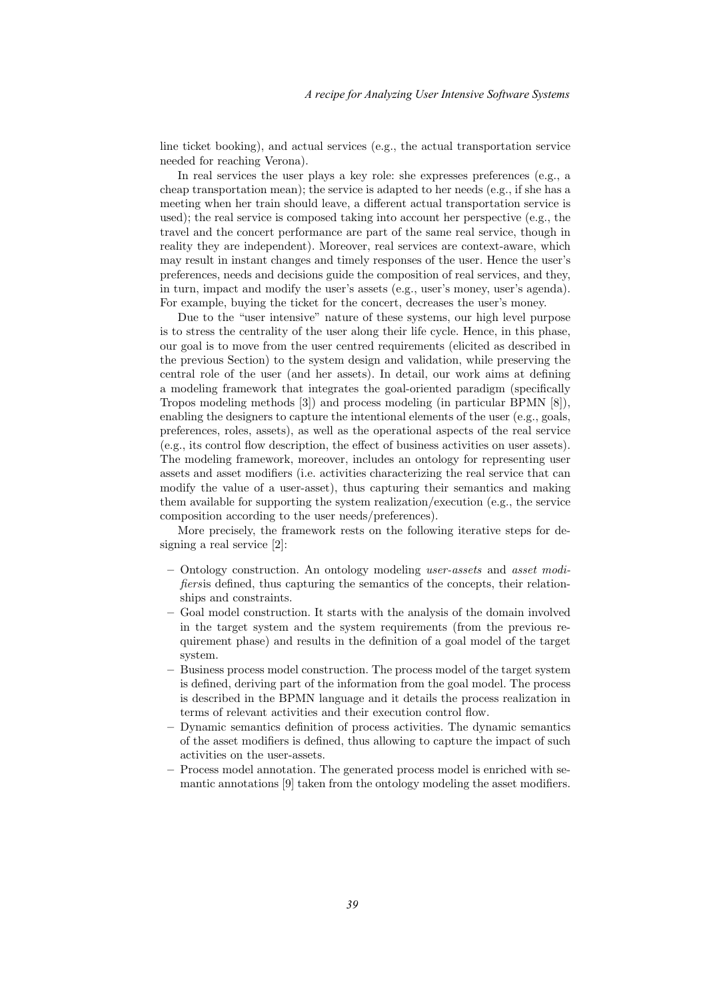line ticket booking), and actual services (e.g., the actual transportation service needed for reaching Verona).

In real services the user plays a key role: she expresses preferences (e.g., a cheap transportation mean); the service is adapted to her needs (e.g., if she has a meeting when her train should leave, a different actual transportation service is used); the real service is composed taking into account her perspective (e.g., the travel and the concert performance are part of the same real service, though in reality they are independent). Moreover, real services are context-aware, which may result in instant changes and timely responses of the user. Hence the user's preferences, needs and decisions guide the composition of real services, and they, in turn, impact and modify the user's assets (e.g., user's money, user's agenda). For example, buying the ticket for the concert, decreases the user's money.

Due to the "user intensive" nature of these systems, our high level purpose is to stress the centrality of the user along their life cycle. Hence, in this phase, our goal is to move from the user centred requirements (elicited as described in the previous Section) to the system design and validation, while preserving the central role of the user (and her assets). In detail, our work aims at defining a modeling framework that integrates the goal-oriented paradigm (specifically Tropos modeling methods [3]) and process modeling (in particular BPMN [8]), enabling the designers to capture the intentional elements of the user (e.g., goals, preferences, roles, assets), as well as the operational aspects of the real service (e.g., its control flow description, the effect of business activities on user assets). The modeling framework, moreover, includes an ontology for representing user assets and asset modifiers (i.e. activities characterizing the real service that can modify the value of a user-asset), thus capturing their semantics and making them available for supporting the system realization/execution (e.g., the service composition according to the user needs/preferences).

More precisely, the framework rests on the following iterative steps for designing a real service [2]:

- Ontology construction. An ontology modeling user-assets and asset modifiersis defined, thus capturing the semantics of the concepts, their relationships and constraints.
- Goal model construction. It starts with the analysis of the domain involved in the target system and the system requirements (from the previous requirement phase) and results in the definition of a goal model of the target system.
- Business process model construction. The process model of the target system is defined, deriving part of the information from the goal model. The process is described in the BPMN language and it details the process realization in terms of relevant activities and their execution control flow.
- Dynamic semantics definition of process activities. The dynamic semantics of the asset modifiers is defined, thus allowing to capture the impact of such activities on the user-assets.
- Process model annotation. The generated process model is enriched with semantic annotations [9] taken from the ontology modeling the asset modifiers.